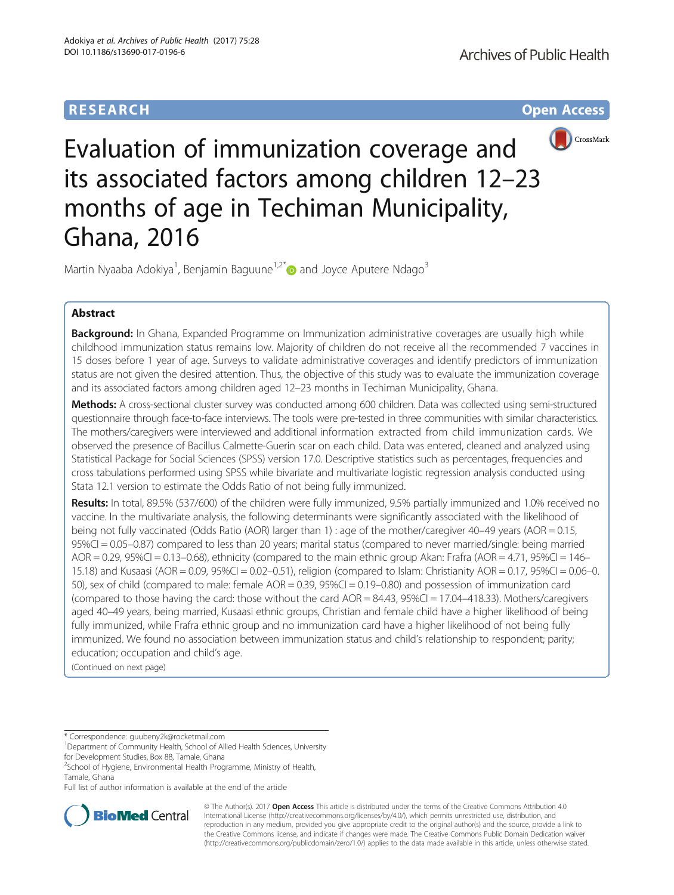# **RESEARCH CHE Open Access**



Evaluation of immunization coverage and its associated factors among children 12–23 months of age in Techiman Municipality, Ghana, 2016

Martin Nyaaba Adokiya<sup>1</sup>, Benjamin Baguune<sup>1,2[\\*](http://orcid.org/0000-0002-1887-6567)</sup> and Joyce Aputere Ndago<sup>3</sup>

# Abstract

Background: In Ghana, Expanded Programme on Immunization administrative coverages are usually high while childhood immunization status remains low. Majority of children do not receive all the recommended 7 vaccines in 15 doses before 1 year of age. Surveys to validate administrative coverages and identify predictors of immunization status are not given the desired attention. Thus, the objective of this study was to evaluate the immunization coverage and its associated factors among children aged 12–23 months in Techiman Municipality, Ghana.

Methods: A cross-sectional cluster survey was conducted among 600 children. Data was collected using semi-structured questionnaire through face-to-face interviews. The tools were pre-tested in three communities with similar characteristics. The mothers/caregivers were interviewed and additional information extracted from child immunization cards. We observed the presence of Bacillus Calmette-Guerin scar on each child. Data was entered, cleaned and analyzed using Statistical Package for Social Sciences (SPSS) version 17.0. Descriptive statistics such as percentages, frequencies and cross tabulations performed using SPSS while bivariate and multivariate logistic regression analysis conducted using Stata 12.1 version to estimate the Odds Ratio of not being fully immunized.

Results: In total, 89.5% (537/600) of the children were fully immunized, 9.5% partially immunized and 1.0% received no vaccine. In the multivariate analysis, the following determinants were significantly associated with the likelihood of being not fully vaccinated (Odds Ratio (AOR) larger than 1) : age of the mother/caregiver 40–49 years (AOR = 0.15, 95%CI = 0.05–0.87) compared to less than 20 years; marital status (compared to never married/single: being married  $AOR = 0.29$ ,  $95\%CI = 0.13-0.68$ ), ethnicity (compared to the main ethnic group Akan: Frafra ( $AOR = 4.71$ ,  $95\%CI = 146-$ 15.18) and Kusaasi (AOR = 0.09, 95%CI = 0.02–0.51), religion (compared to Islam: Christianity AOR = 0.17, 95%CI = 0.06–0. 50), sex of child (compared to male: female AOR = 0.39, 95%CI = 0.19–0.80) and possession of immunization card (compared to those having the card: those without the card AOR = 84.43, 95%CI = 17.04–418.33). Mothers/caregivers aged 40–49 years, being married, Kusaasi ethnic groups, Christian and female child have a higher likelihood of being fully immunized, while Frafra ethnic group and no immunization card have a higher likelihood of not being fully immunized. We found no association between immunization status and child's relationship to respondent; parity; education; occupation and child's age.

(Continued on next page)

\* Correspondence: [guubeny2k@rocketmail.com](mailto:guubeny2k@rocketmail.com) <sup>1</sup>

<sup>2</sup>School of Hygiene, Environmental Health Programme, Ministry of Health, Tamale, Ghana

Full list of author information is available at the end of the article



© The Author(s). 2017 **Open Access** This article is distributed under the terms of the Creative Commons Attribution 4.0 International License [\(http://creativecommons.org/licenses/by/4.0/](http://creativecommons.org/licenses/by/4.0/)), which permits unrestricted use, distribution, and reproduction in any medium, provided you give appropriate credit to the original author(s) and the source, provide a link to the Creative Commons license, and indicate if changes were made. The Creative Commons Public Domain Dedication waiver [\(http://creativecommons.org/publicdomain/zero/1.0/](http://creativecommons.org/publicdomain/zero/1.0/)) applies to the data made available in this article, unless otherwise stated.

<sup>&</sup>lt;sup>1</sup>Department of Community Health, School of Allied Health Sciences, University for Development Studies, Box 88, Tamale, Ghana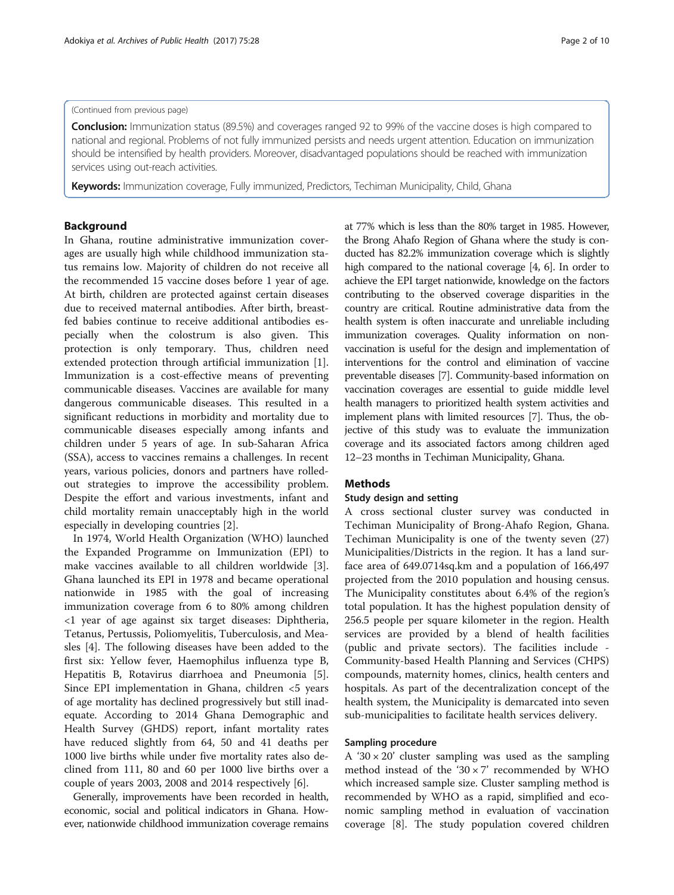# (Continued from previous page)

Conclusion: Immunization status (89.5%) and coverages ranged 92 to 99% of the vaccine doses is high compared to national and regional. Problems of not fully immunized persists and needs urgent attention. Education on immunization should be intensified by health providers. Moreover, disadvantaged populations should be reached with immunization services using out-reach activities.

Keywords: Immunization coverage, Fully immunized, Predictors, Techiman Municipality, Child, Ghana

# Background

In Ghana, routine administrative immunization coverages are usually high while childhood immunization status remains low. Majority of children do not receive all the recommended 15 vaccine doses before 1 year of age. At birth, children are protected against certain diseases due to received maternal antibodies. After birth, breastfed babies continue to receive additional antibodies especially when the colostrum is also given. This protection is only temporary. Thus, children need extended protection through artificial immunization [\[1](#page-8-0)]. Immunization is a cost-effective means of preventing communicable diseases. Vaccines are available for many dangerous communicable diseases. This resulted in a significant reductions in morbidity and mortality due to communicable diseases especially among infants and children under 5 years of age. In sub-Saharan Africa (SSA), access to vaccines remains a challenges. In recent years, various policies, donors and partners have rolledout strategies to improve the accessibility problem. Despite the effort and various investments, infant and child mortality remain unacceptably high in the world especially in developing countries [\[2](#page-8-0)].

In 1974, World Health Organization (WHO) launched the Expanded Programme on Immunization (EPI) to make vaccines available to all children worldwide [\[3](#page-8-0)]. Ghana launched its EPI in 1978 and became operational nationwide in 1985 with the goal of increasing immunization coverage from 6 to 80% among children <1 year of age against six target diseases: Diphtheria, Tetanus, Pertussis, Poliomyelitis, Tuberculosis, and Measles [\[4](#page-8-0)]. The following diseases have been added to the first six: Yellow fever, Haemophilus influenza type B, Hepatitis B, Rotavirus diarrhoea and Pneumonia [\[5](#page-8-0)]. Since EPI implementation in Ghana, children <5 years of age mortality has declined progressively but still inadequate. According to 2014 Ghana Demographic and Health Survey (GHDS) report, infant mortality rates have reduced slightly from 64, 50 and 41 deaths per 1000 live births while under five mortality rates also declined from 111, 80 and 60 per 1000 live births over a couple of years 2003, 2008 and 2014 respectively [[6\]](#page-8-0).

Generally, improvements have been recorded in health, economic, social and political indicators in Ghana. However, nationwide childhood immunization coverage remains at 77% which is less than the 80% target in 1985. However, the Brong Ahafo Region of Ghana where the study is conducted has 82.2% immunization coverage which is slightly high compared to the national coverage [[4](#page-8-0), [6\]](#page-8-0). In order to achieve the EPI target nationwide, knowledge on the factors contributing to the observed coverage disparities in the country are critical. Routine administrative data from the health system is often inaccurate and unreliable including immunization coverages. Quality information on nonvaccination is useful for the design and implementation of interventions for the control and elimination of vaccine preventable diseases [\[7\]](#page-8-0). Community-based information on vaccination coverages are essential to guide middle level health managers to prioritized health system activities and implement plans with limited resources [\[7\]](#page-8-0). Thus, the objective of this study was to evaluate the immunization coverage and its associated factors among children aged 12–23 months in Techiman Municipality, Ghana.

# **Methods**

# Study design and setting

A cross sectional cluster survey was conducted in Techiman Municipality of Brong-Ahafo Region, Ghana. Techiman Municipality is one of the twenty seven (27) Municipalities/Districts in the region. It has a land surface area of 649.0714sq.km and a population of 166,497 projected from the 2010 population and housing census. The Municipality constitutes about 6.4% of the region's total population. It has the highest population density of 256.5 people per square kilometer in the region. Health services are provided by a blend of health facilities (public and private sectors). The facilities include - Community-based Health Planning and Services (CHPS) compounds, maternity homes, clinics, health centers and hospitals. As part of the decentralization concept of the health system, the Municipality is demarcated into seven sub-municipalities to facilitate health services delivery.

# Sampling procedure

A '30  $\times$  20' cluster sampling was used as the sampling method instead of the '30  $\times$  7' recommended by WHO which increased sample size. Cluster sampling method is recommended by WHO as a rapid, simplified and economic sampling method in evaluation of vaccination coverage [[8\]](#page-8-0). The study population covered children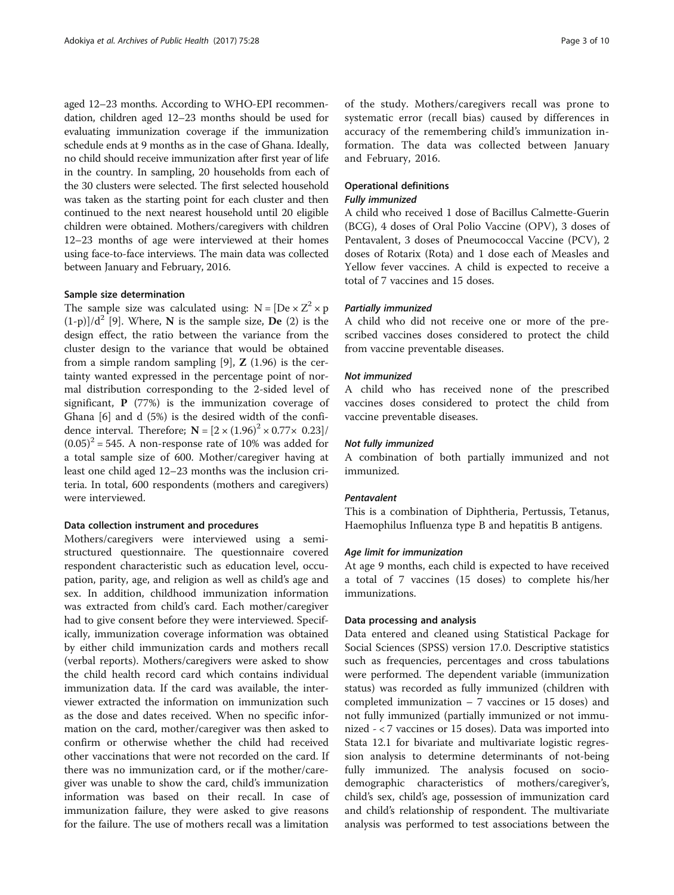aged 12–23 months. According to WHO-EPI recommendation, children aged 12–23 months should be used for evaluating immunization coverage if the immunization schedule ends at 9 months as in the case of Ghana. Ideally, no child should receive immunization after first year of life in the country. In sampling, 20 households from each of the 30 clusters were selected. The first selected household was taken as the starting point for each cluster and then continued to the next nearest household until 20 eligible children were obtained. Mothers/caregivers with children 12–23 months of age were interviewed at their homes using face-to-face interviews. The main data was collected between January and February, 2016.

# Sample size determination

The sample size was calculated using:  $N = [De \times Z^2 \times p]$  $(1-p)/d^2$  [\[9](#page-8-0)]. Where, N is the sample size, De (2) is the design effect, the ratio between the variance from the cluster design to the variance that would be obtained from a simple random sampling [[9\]](#page-8-0),  $\mathbb{Z}$  (1.96) is the certainty wanted expressed in the percentage point of normal distribution corresponding to the 2-sided level of significant,  $P$  (77%) is the immunization coverage of Ghana [\[6](#page-8-0)] and d (5%) is the desired width of the confidence interval. Therefore;  $N = [2 \times (1.96)^2 \times 0.77 \times 0.23]$  $(0.05)^2 = 545$ . A non-response rate of 10% was added for a total sample size of 600. Mother/caregiver having at least one child aged 12–23 months was the inclusion criteria. In total, 600 respondents (mothers and caregivers) were interviewed.

# Data collection instrument and procedures

Mothers/caregivers were interviewed using a semistructured questionnaire. The questionnaire covered respondent characteristic such as education level, occupation, parity, age, and religion as well as child's age and sex. In addition, childhood immunization information was extracted from child's card. Each mother/caregiver had to give consent before they were interviewed. Specifically, immunization coverage information was obtained by either child immunization cards and mothers recall (verbal reports). Mothers/caregivers were asked to show the child health record card which contains individual immunization data. If the card was available, the interviewer extracted the information on immunization such as the dose and dates received. When no specific information on the card, mother/caregiver was then asked to confirm or otherwise whether the child had received other vaccinations that were not recorded on the card. If there was no immunization card, or if the mother/caregiver was unable to show the card, child's immunization information was based on their recall. In case of immunization failure, they were asked to give reasons for the failure. The use of mothers recall was a limitation of the study. Mothers/caregivers recall was prone to systematic error (recall bias) caused by differences in accuracy of the remembering child's immunization information. The data was collected between January and February, 2016.

# Operational definitions

# Fully immunized

A child who received 1 dose of Bacillus Calmette-Guerin (BCG), 4 doses of Oral Polio Vaccine (OPV), 3 doses of Pentavalent, 3 doses of Pneumococcal Vaccine (PCV), 2 doses of Rotarix (Rota) and 1 dose each of Measles and Yellow fever vaccines. A child is expected to receive a total of 7 vaccines and 15 doses.

# Partially immunized

A child who did not receive one or more of the prescribed vaccines doses considered to protect the child from vaccine preventable diseases.

# Not immunized

A child who has received none of the prescribed vaccines doses considered to protect the child from vaccine preventable diseases.

# Not fully immunized

A combination of both partially immunized and not immunized.

# Pentavalent

This is a combination of Diphtheria, Pertussis, Tetanus, Haemophilus Influenza type B and hepatitis B antigens.

### Age limit for immunization

At age 9 months, each child is expected to have received a total of 7 vaccines (15 doses) to complete his/her immunizations.

# Data processing and analysis

Data entered and cleaned using Statistical Package for Social Sciences (SPSS) version 17.0. Descriptive statistics such as frequencies, percentages and cross tabulations were performed. The dependent variable (immunization status) was recorded as fully immunized (children with completed immunization  $-7$  vaccines or 15 doses) and not fully immunized (partially immunized or not immunized - < 7 vaccines or 15 doses). Data was imported into Stata 12.1 for bivariate and multivariate logistic regression analysis to determine determinants of not-being fully immunized. The analysis focused on sociodemographic characteristics of mothers/caregiver's, child's sex, child's age, possession of immunization card and child's relationship of respondent. The multivariate analysis was performed to test associations between the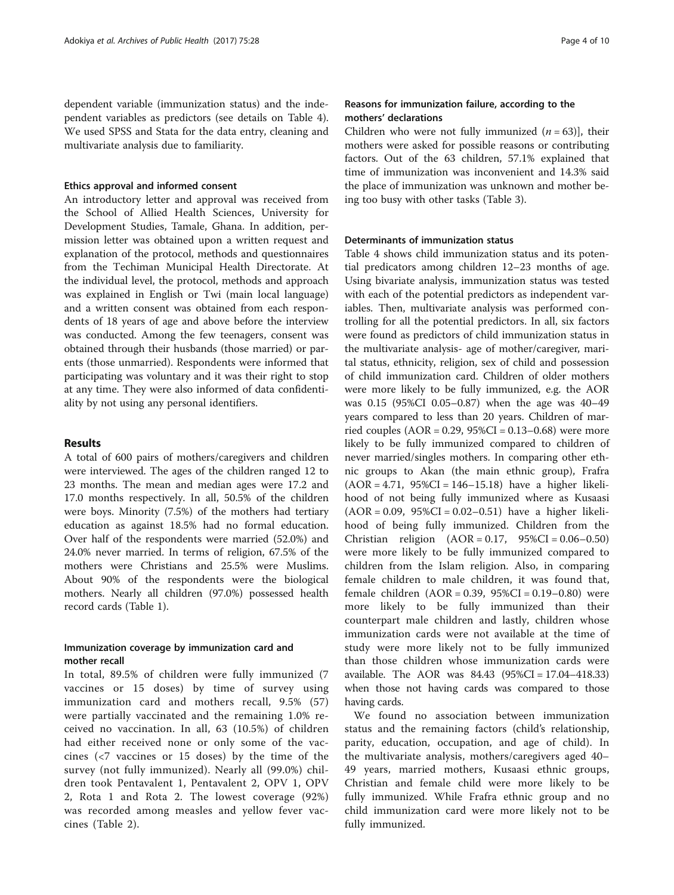dependent variable (immunization status) and the independent variables as predictors (see details on Table [4](#page-6-0)). We used SPSS and Stata for the data entry, cleaning and multivariate analysis due to familiarity.

# Ethics approval and informed consent

An introductory letter and approval was received from the School of Allied Health Sciences, University for Development Studies, Tamale, Ghana. In addition, permission letter was obtained upon a written request and explanation of the protocol, methods and questionnaires from the Techiman Municipal Health Directorate. At the individual level, the protocol, methods and approach was explained in English or Twi (main local language) and a written consent was obtained from each respondents of 18 years of age and above before the interview was conducted. Among the few teenagers, consent was obtained through their husbands (those married) or parents (those unmarried). Respondents were informed that participating was voluntary and it was their right to stop at any time. They were also informed of data confidentiality by not using any personal identifiers.

# Results

A total of 600 pairs of mothers/caregivers and children were interviewed. The ages of the children ranged 12 to 23 months. The mean and median ages were 17.2 and 17.0 months respectively. In all, 50.5% of the children were boys. Minority (7.5%) of the mothers had tertiary education as against 18.5% had no formal education. Over half of the respondents were married (52.0%) and 24.0% never married. In terms of religion, 67.5% of the mothers were Christians and 25.5% were Muslims. About 90% of the respondents were the biological mothers. Nearly all children (97.0%) possessed health record cards (Table [1\)](#page-4-0).

# Immunization coverage by immunization card and mother recall

In total, 89.5% of children were fully immunized (7 vaccines or 15 doses) by time of survey using immunization card and mothers recall, 9.5% (57) were partially vaccinated and the remaining 1.0% received no vaccination. In all, 63 (10.5%) of children had either received none or only some of the vaccines  $\langle$  <7 vaccines or 15 doses) by the time of the survey (not fully immunized). Nearly all (99.0%) children took Pentavalent 1, Pentavalent 2, OPV 1, OPV 2, Rota 1 and Rota 2. The lowest coverage (92%) was recorded among measles and yellow fever vaccines (Table [2\)](#page-5-0).

# Reasons for immunization failure, according to the mothers' declarations

Children who were not fully immunized  $(n = 63)$ , their mothers were asked for possible reasons or contributing factors. Out of the 63 children, 57.1% explained that time of immunization was inconvenient and 14.3% said the place of immunization was unknown and mother being too busy with other tasks (Table [3](#page-5-0)).

# Determinants of immunization status

Table [4](#page-6-0) shows child immunization status and its potential predicators among children 12–23 months of age. Using bivariate analysis, immunization status was tested with each of the potential predictors as independent variables. Then, multivariate analysis was performed controlling for all the potential predictors. In all, six factors were found as predictors of child immunization status in the multivariate analysis- age of mother/caregiver, marital status, ethnicity, religion, sex of child and possession of child immunization card. Children of older mothers were more likely to be fully immunized, e.g. the AOR was 0.15 (95%CI 0.05–0.87) when the age was 40–49 years compared to less than 20 years. Children of married couples (AOR = 0.29, 95%CI = 0.13–0.68) were more likely to be fully immunized compared to children of never married/singles mothers. In comparing other ethnic groups to Akan (the main ethnic group), Frafra  $(AOR = 4.71, 95\%CI = 146 - 15.18)$  have a higher likelihood of not being fully immunized where as Kusaasi  $(AOR = 0.09, 95\%CI = 0.02 - 0.51)$  have a higher likelihood of being fully immunized. Children from the Christian religion  $(AOR = 0.17, 95\%CI = 0.06 - 0.50)$ were more likely to be fully immunized compared to children from the Islam religion. Also, in comparing female children to male children, it was found that, female children  $(AOR = 0.39, 95\%CI = 0.19 - 0.80)$  were more likely to be fully immunized than their counterpart male children and lastly, children whose immunization cards were not available at the time of study were more likely not to be fully immunized than those children whose immunization cards were available. The AOR was 84.43 (95%CI = 17.04–418.33) when those not having cards was compared to those having cards.

We found no association between immunization status and the remaining factors (child's relationship, parity, education, occupation, and age of child). In the multivariate analysis, mothers/caregivers aged 40– 49 years, married mothers, Kusaasi ethnic groups, Christian and female child were more likely to be fully immunized. While Frafra ethnic group and no child immunization card were more likely not to be fully immunized.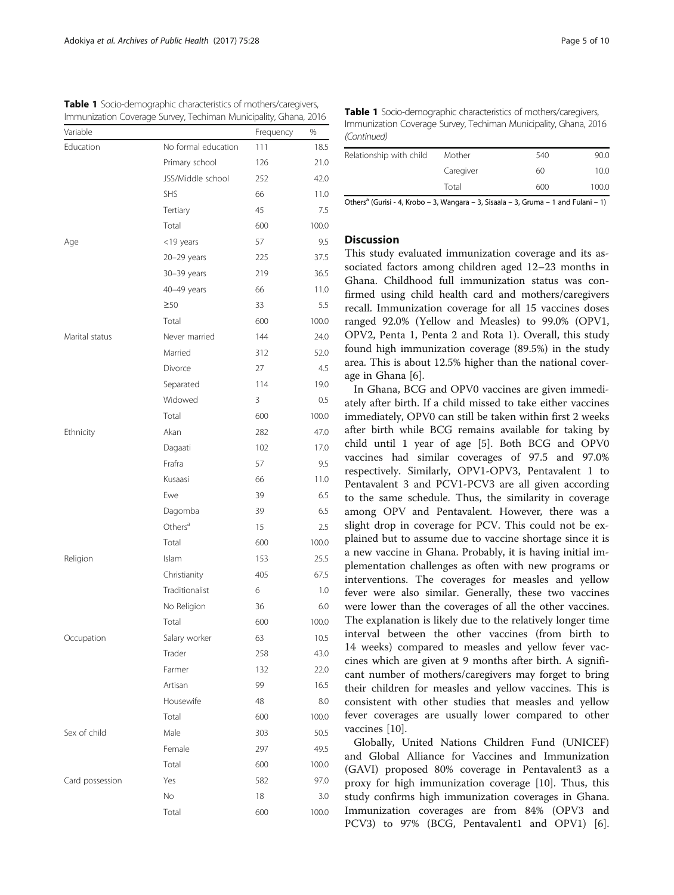<span id="page-4-0"></span>Table 1 Socio-demographic characteristics of mothers/caregivers, Immunization Coverage Survey, Techiman Municipality, Ghana, 2016

| Variable        |                     | Frequency | %     |
|-----------------|---------------------|-----------|-------|
| Education       | No formal education | 111       | 18.5  |
|                 | Primary school      | 126       | 21.0  |
|                 | JSS/Middle school   | 252       | 42.0  |
|                 | <b>SHS</b>          | 66        | 11.0  |
|                 | Tertiary            | 45        | 7.5   |
|                 | Total               | 600       | 100.0 |
| Age             | <19 years           | 57        | 9.5   |
|                 | 20-29 years         | 225       | 37.5  |
|                 | 30-39 years         | 219       | 36.5  |
|                 | 40-49 years         | 66        | 11.0  |
|                 | $\geq 50$           | 33        | 5.5   |
|                 | Total               | 600       | 100.0 |
| Marital status  | Never married       | 144       | 24.0  |
|                 | Married             | 312       | 52.0  |
|                 | Divorce             | 27        | 4.5   |
|                 | Separated           | 114       | 19.0  |
|                 | Widowed             | 3         | 0.5   |
|                 | Total               | 600       | 100.0 |
| Ethnicity       | Akan                | 282       | 47.0  |
|                 | Dagaati             | 102       | 17.0  |
|                 | Frafra              | 57        | 9.5   |
|                 | Kusaasi             | 66        | 11.0  |
|                 | Ewe                 | 39        | 6.5   |
|                 | Dagomba             | 39        | 6.5   |
|                 | Others <sup>a</sup> | 15        | 2.5   |
|                 | Total               | 600       | 100.0 |
| Religion        | Islam               | 153       | 25.5  |
|                 | Christianity        | 405       | 67.5  |
|                 | Traditionalist      | 6         | 1.0   |
|                 | No Religion         | 36        | 6.0   |
|                 | Total               | 600       | 100.0 |
| Occupation      | Salary worker       | 63        | 10.5  |
|                 | Trader              | 258       | 43.0  |
|                 | Farmer              | 132       | 22.0  |
|                 | Artisan             | 99        | 16.5  |
|                 | Housewife           | 48        | 8.0   |
|                 | Total               | 600       | 100.0 |
| Sex of child    | Male                | 303       | 50.5  |
|                 | Female              | 297       | 49.5  |
|                 | Total               | 600       | 100.0 |
| Card possession | Yes                 | 582       | 97.0  |
|                 | No                  | 18        | 3.0   |
|                 | Total               | 600       | 100.0 |

Table 1 Socio-demographic characteristics of mothers/caregivers, Immunization Coverage Survey, Techiman Municipality, Ghana, 2016 (Continued)

| Relationship with child                                                                         | Mother    | 540 | 90.0  |
|-------------------------------------------------------------------------------------------------|-----------|-----|-------|
|                                                                                                 | Caregiver | 60  | 10.0  |
|                                                                                                 | Total     | 600 | 100.0 |
| Others <sup>a</sup> (Gurisi - 4, Krobo – 3, Wangara – 3, Sisaala – 3, Gruma – 1 and Fulani – 1) |           |     |       |

Discussion

This study evaluated immunization coverage and its associated factors among children aged 12–23 months in Ghana. Childhood full immunization status was confirmed using child health card and mothers/caregivers recall. Immunization coverage for all 15 vaccines doses ranged 92.0% (Yellow and Measles) to 99.0% (OPV1, OPV2, Penta 1, Penta 2 and Rota 1). Overall, this study found high immunization coverage (89.5%) in the study area. This is about 12.5% higher than the national coverage in Ghana [[6\]](#page-8-0).

In Ghana, BCG and OPV0 vaccines are given immediately after birth. If a child missed to take either vaccines immediately, OPV0 can still be taken within first 2 weeks after birth while BCG remains available for taking by child until 1 year of age [\[5](#page-8-0)]. Both BCG and OPV0 vaccines had similar coverages of 97.5 and 97.0% respectively. Similarly, OPV1-OPV3, Pentavalent 1 to Pentavalent 3 and PCV1-PCV3 are all given according to the same schedule. Thus, the similarity in coverage among OPV and Pentavalent. However, there was a slight drop in coverage for PCV. This could not be explained but to assume due to vaccine shortage since it is a new vaccine in Ghana. Probably, it is having initial implementation challenges as often with new programs or interventions. The coverages for measles and yellow fever were also similar. Generally, these two vaccines were lower than the coverages of all the other vaccines. The explanation is likely due to the relatively longer time interval between the other vaccines (from birth to 14 weeks) compared to measles and yellow fever vaccines which are given at 9 months after birth. A significant number of mothers/caregivers may forget to bring their children for measles and yellow vaccines. This is consistent with other studies that measles and yellow fever coverages are usually lower compared to other vaccines [[10\]](#page-8-0).

Globally, United Nations Children Fund (UNICEF) and Global Alliance for Vaccines and Immunization (GAVI) proposed 80% coverage in Pentavalent3 as a proxy for high immunization coverage [\[10](#page-8-0)]. Thus, this study confirms high immunization coverages in Ghana. Immunization coverages are from 84% (OPV3 and PCV3) to 97% (BCG, Pentavalent1 and OPV1) [\[6](#page-8-0)].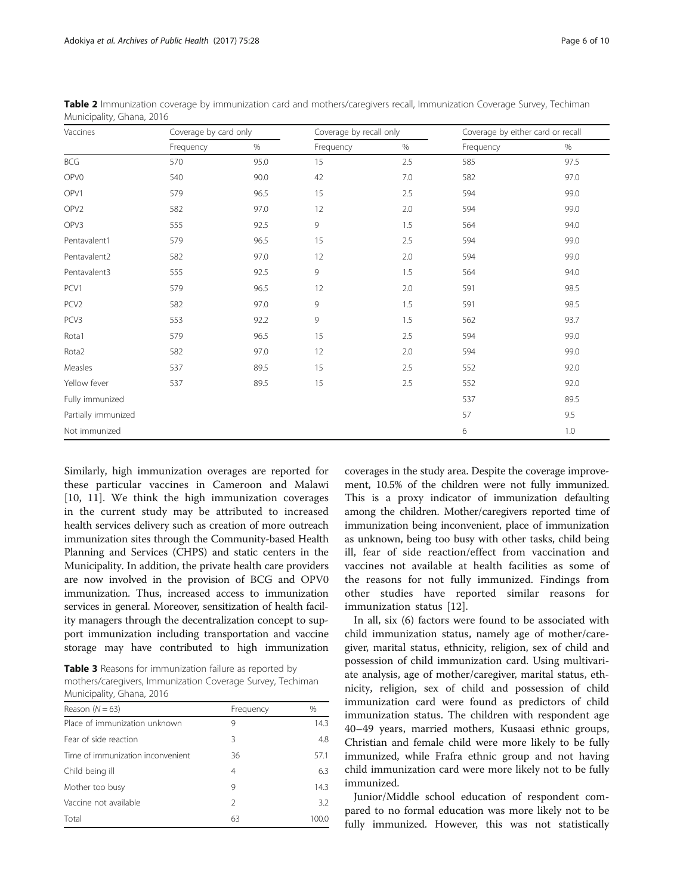| Vaccines            |           | Coverage by card only |           | Coverage by recall only |           | Coverage by either card or recall |  |
|---------------------|-----------|-----------------------|-----------|-------------------------|-----------|-----------------------------------|--|
|                     | Frequency | $\%$                  | Frequency | $\%$                    | Frequency | %                                 |  |
| BCG                 | 570       | 95.0                  | 15        | 2.5                     | 585       | 97.5                              |  |
| OPV0                | 540       | 90.0                  | 42        | 7.0                     | 582       | 97.0                              |  |
| OPV1                | 579       | 96.5                  | 15        | 2.5                     | 594       | 99.0                              |  |
| OPV <sub>2</sub>    | 582       | 97.0                  | 12        | 2.0                     | 594       | 99.0                              |  |
| OPV3                | 555       | 92.5                  | 9         | 1.5                     | 564       | 94.0                              |  |
| Pentavalent1        | 579       | 96.5                  | 15        | 2.5                     | 594       | 99.0                              |  |
| Pentavalent2        | 582       | 97.0                  | 12        | 2.0                     | 594       | 99.0                              |  |
| Pentavalent3        | 555       | 92.5                  | 9         | 1.5                     | 564       | 94.0                              |  |
| PCV1                | 579       | 96.5                  | 12        | 2.0                     | 591       | 98.5                              |  |
| PCV <sub>2</sub>    | 582       | 97.0                  | 9         | 1.5                     | 591       | 98.5                              |  |
| PCV3                | 553       | 92.2                  | 9         | 1.5                     | 562       | 93.7                              |  |
| Rota1               | 579       | 96.5                  | 15        | 2.5                     | 594       | 99.0                              |  |
| Rota2               | 582       | 97.0                  | 12        | 2.0                     | 594       | 99.0                              |  |
| Measles             | 537       | 89.5                  | 15        | 2.5                     | 552       | 92.0                              |  |
| Yellow fever        | 537       | 89.5                  | 15        | 2.5                     | 552       | 92.0                              |  |
| Fully immunized     |           |                       |           |                         | 537       | 89.5                              |  |
| Partially immunized |           |                       |           |                         | 57        | 9.5                               |  |
| Not immunized       |           |                       |           |                         | 6         | 1.0                               |  |

<span id="page-5-0"></span>Table 2 Immunization coverage by immunization card and mothers/caregivers recall, Immunization Coverage Survey, Techiman Municipality, Ghana, 2016

Similarly, high immunization overages are reported for these particular vaccines in Cameroon and Malawi [[10, 11](#page-8-0)]. We think the high immunization coverages in the current study may be attributed to increased health services delivery such as creation of more outreach immunization sites through the Community-based Health Planning and Services (CHPS) and static centers in the Municipality. In addition, the private health care providers are now involved in the provision of BCG and OPV0 immunization. Thus, increased access to immunization services in general. Moreover, sensitization of health facility managers through the decentralization concept to support immunization including transportation and vaccine storage may have contributed to high immunization

Table 3 Reasons for immunization failure as reported by mothers/caregivers, Immunization Coverage Survey, Techiman Municipality, Ghana, 2016

| Reason $(N = 63)$                 | Frequency     | $\%$  |
|-----------------------------------|---------------|-------|
| Place of immunization unknown     | 9             | 14.3  |
| Fear of side reaction             | 3             | 4.8   |
| Time of immunization inconvenient | 36            | 57.1  |
| Child being ill                   | 4             | 6.3   |
| Mother too busy                   | 9             | 14.3  |
| Vaccine not available             | $\mathcal{L}$ | 3.2   |
| Total                             | 63            | 100.0 |

coverages in the study area. Despite the coverage improvement, 10.5% of the children were not fully immunized. This is a proxy indicator of immunization defaulting among the children. Mother/caregivers reported time of immunization being inconvenient, place of immunization as unknown, being too busy with other tasks, child being ill, fear of side reaction/effect from vaccination and vaccines not available at health facilities as some of the reasons for not fully immunized. Findings from other studies have reported similar reasons for immunization status [\[12](#page-8-0)].

In all, six (6) factors were found to be associated with child immunization status, namely age of mother/caregiver, marital status, ethnicity, religion, sex of child and possession of child immunization card. Using multivariate analysis, age of mother/caregiver, marital status, ethnicity, religion, sex of child and possession of child immunization card were found as predictors of child immunization status. The children with respondent age 40–49 years, married mothers, Kusaasi ethnic groups, Christian and female child were more likely to be fully immunized, while Frafra ethnic group and not having child immunization card were more likely not to be fully immunized.

Junior/Middle school education of respondent compared to no formal education was more likely not to be fully immunized. However, this was not statistically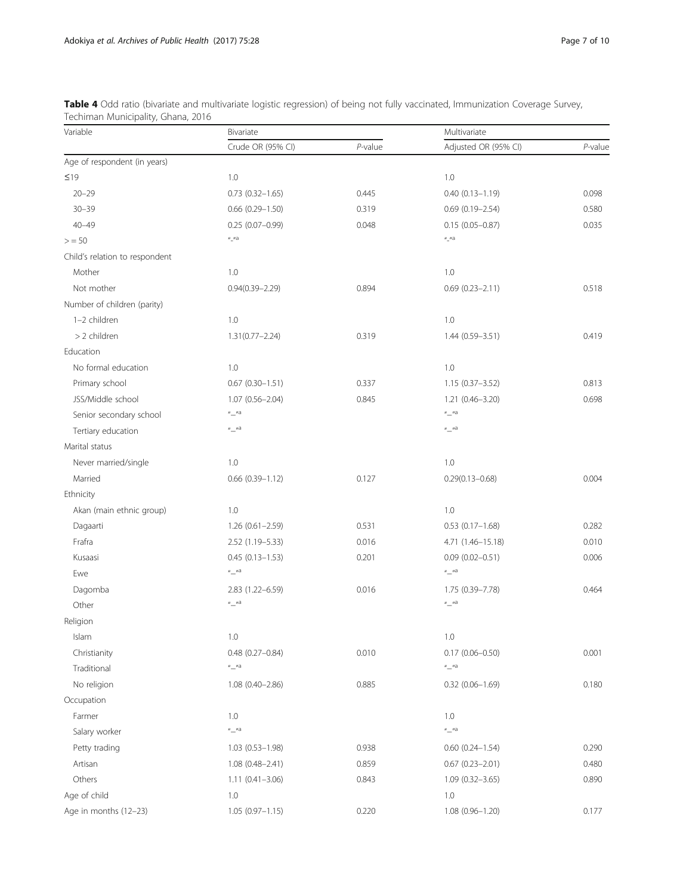| Variable                       | Bivariate                               |            | Multivariate                            |            |  |
|--------------------------------|-----------------------------------------|------------|-----------------------------------------|------------|--|
|                                | Crude OR (95% CI)                       | $P$ -value | Adjusted OR (95% CI)                    | $P$ -value |  |
| Age of respondent (in years)   |                                         |            |                                         |            |  |
| $\leq$ 19                      | 1.0                                     |            | 1.0                                     |            |  |
| $20 - 29$                      | $0.73$ $(0.32 - 1.65)$                  | 0.445      | $0.40(0.13 - 1.19)$                     | 0.098      |  |
| $30 - 39$                      | $0.66$ $(0.29 - 1.50)$                  | 0.319      | $0.69(0.19 - 2.54)$                     | 0.580      |  |
| $40 - 49$                      | $0.25(0.07 - 0.99)$                     | 0.048      | $0.15(0.05 - 0.87)$                     | 0.035      |  |
| > 50                           | $^{\prime\prime}$ _ $^{\prime\prime}$ a |            | $^{\prime\prime}$ _ $^{\prime\prime}$ a |            |  |
| Child's relation to respondent |                                         |            |                                         |            |  |
| Mother                         | 1.0                                     |            | 1.0                                     |            |  |
| Not mother                     | $0.94(0.39 - 2.29)$                     | 0.894      | $0.69(0.23 - 2.11)$                     | 0.518      |  |
| Number of children (parity)    |                                         |            |                                         |            |  |
| 1-2 children                   | 1.0                                     |            | $1.0\,$                                 |            |  |
| > 2 children                   | $1.31(0.77 - 2.24)$                     | 0.319      | 1.44 (0.59-3.51)                        | 0.419      |  |
| Education                      |                                         |            |                                         |            |  |
| No formal education            | 1.0                                     |            | 1.0                                     |            |  |
| Primary school                 | $0.67$ $(0.30-1.51)$                    | 0.337      | $1.15(0.37 - 3.52)$                     | 0.813      |  |
| JSS/Middle school              | $1.07(0.56 - 2.04)$                     | 0.845      | $1.21(0.46 - 3.20)$                     | 0.698      |  |
| Senior secondary school        | $^{\prime\prime}$ _ $^{\prime\prime}$ a |            | $^{\prime\prime}$ _"a                   |            |  |
| Tertiary education             | $u$ <sub>m</sub> a                      |            | $u$ <sub>-</sub> $n$ a                  |            |  |
| Marital status                 |                                         |            |                                         |            |  |
| Never married/single           | 1.0                                     |            | 1.0                                     |            |  |
| Married                        | $0.66$ $(0.39 - 1.12)$                  | 0.127      | $0.29(0.13 - 0.68)$                     | 0.004      |  |
| Ethnicity                      |                                         |            |                                         |            |  |
| Akan (main ethnic group)       | 1.0                                     |            | 1.0                                     |            |  |
| Dagaarti                       | 1.26 (0.61-2.59)                        | 0.531      | $0.53$ $(0.17-1.68)$                    | 0.282      |  |
| Frafra                         | 2.52 (1.19-5.33)                        | 0.016      | 4.71 (1.46-15.18)                       | 0.010      |  |
| Kusaasi                        | $0.45(0.13 - 1.53)$                     | 0.201      | $0.09(0.02 - 0.51)$                     | 0.006      |  |
| Ewe                            | $^u\_^{\prime\prime}$ a                 |            | $^u\_^{\bar{u}\bar{d}}$                 |            |  |
| Dagomba                        | 2.83 (1.22-6.59)                        | 0.016      | 1.75 (0.39-7.78)                        | 0.464      |  |
| Other                          | $^u$ _ $^{\prime\prime}$ a              |            | $^{\prime\prime}$ _"a                   |            |  |
| Religion                       |                                         |            |                                         |            |  |
| Islam                          | 1.0                                     |            | 1.0                                     |            |  |
| Christianity                   | $0.48(0.27 - 0.84)$                     | 0.010      | $0.17(0.06 - 0.50)$                     | 0.001      |  |
| Traditional                    | $^u\_^{\prime\prime}$ a                 |            | $^{\prime\prime}$ _ $^{\prime\prime}$ a |            |  |
| No religion                    | $1.08(0.40 - 2.86)$                     | 0.885      | $0.32(0.06 - 1.69)$                     | 0.180      |  |
| Occupation                     |                                         |            |                                         |            |  |
| Farmer                         | 1.0                                     |            | 1.0                                     |            |  |
| Salary worker                  | $^{\prime\prime}$ _ $^{\prime\prime}$ a |            | $^{\prime\prime}$ _"a                   |            |  |
| Petty trading                  | $1.03(0.53 - 1.98)$                     | 0.938      | $0.60$ $(0.24 - 1.54)$                  | 0.290      |  |
| Artisan                        | 1.08 (0.48-2.41)                        | 0.859      | $0.67$ $(0.23 - 2.01)$                  | 0.480      |  |
| Others                         | $1.11(0.41 - 3.06)$                     | 0.843      | 1.09 (0.32-3.65)                        | 0.890      |  |
| Age of child                   | $1.0\,$                                 |            | $1.0\,$                                 |            |  |
| Age in months (12-23)          | $1.05(0.97 - 1.15)$                     | 0.220      | 1.08 (0.96-1.20)                        | 0.177      |  |
|                                |                                         |            |                                         |            |  |

<span id="page-6-0"></span>Table 4 Odd ratio (bivariate and multivariate logistic regression) of being not fully vaccinated, Immunization Coverage Survey, Techiman Municipality, Ghana, 2016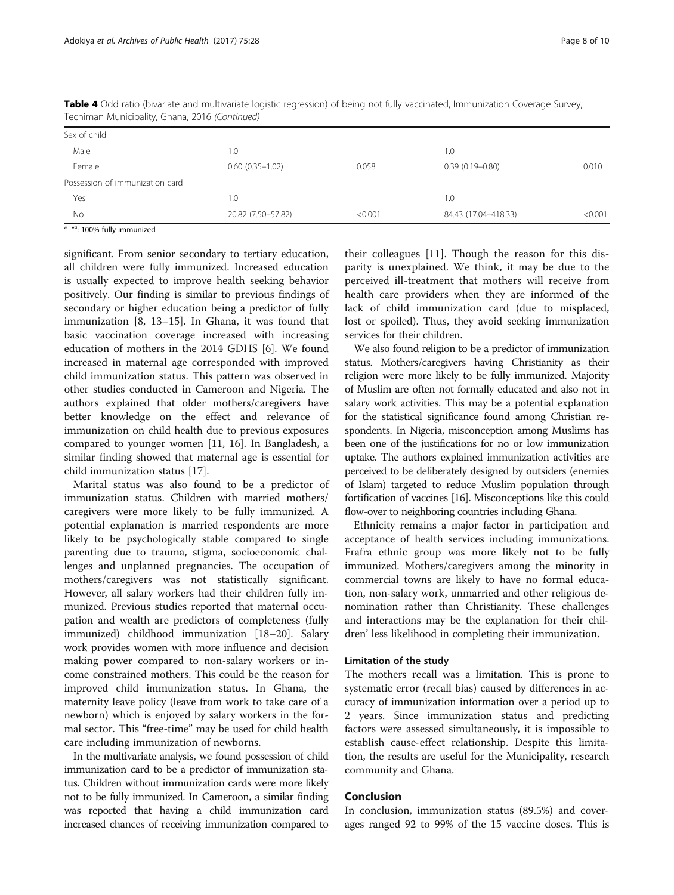| Sex of child                    |                     |         |                      |         |
|---------------------------------|---------------------|---------|----------------------|---------|
| Male                            | 1.0                 |         | 1.0                  |         |
| Female                          | $0.60(0.35 - 1.02)$ | 0.058   | $0.39(0.19 - 0.80)$  | 0.010   |
| Possession of immunization card |                     |         |                      |         |
| Yes                             | 1.0                 |         | 1.0                  |         |
| No                              | 20.82 (7.50-57.82)  | < 0.001 | 84.43 (17.04-418.33) | < 0.001 |
|                                 |                     |         |                      |         |

Table 4 Odd ratio (bivariate and multivariate logistic regression) of being not fully vaccinated, Immunization Coverage Survey, Techiman Municipality, Ghana, 2016 (Continued)

"−" a : 100% fully immunized

significant. From senior secondary to tertiary education, all children were fully immunized. Increased education is usually expected to improve health seeking behavior positively. Our finding is similar to previous findings of secondary or higher education being a predictor of fully immunization [[8, 13](#page-8-0)–[15\]](#page-8-0). In Ghana, it was found that basic vaccination coverage increased with increasing education of mothers in the 2014 GDHS [[6\]](#page-8-0). We found increased in maternal age corresponded with improved child immunization status. This pattern was observed in other studies conducted in Cameroon and Nigeria. The authors explained that older mothers/caregivers have better knowledge on the effect and relevance of immunization on child health due to previous exposures compared to younger women [[11, 16](#page-8-0)]. In Bangladesh, a similar finding showed that maternal age is essential for child immunization status [[17](#page-9-0)].

Marital status was also found to be a predictor of immunization status. Children with married mothers/ caregivers were more likely to be fully immunized. A potential explanation is married respondents are more likely to be psychologically stable compared to single parenting due to trauma, stigma, socioeconomic challenges and unplanned pregnancies. The occupation of mothers/caregivers was not statistically significant. However, all salary workers had their children fully immunized. Previous studies reported that maternal occupation and wealth are predictors of completeness (fully immunized) childhood immunization [\[18](#page-9-0)–[20\]](#page-9-0). Salary work provides women with more influence and decision making power compared to non-salary workers or income constrained mothers. This could be the reason for improved child immunization status. In Ghana, the maternity leave policy (leave from work to take care of a newborn) which is enjoyed by salary workers in the formal sector. This "free-time" may be used for child health care including immunization of newborns.

In the multivariate analysis, we found possession of child immunization card to be a predictor of immunization status. Children without immunization cards were more likely not to be fully immunized. In Cameroon, a similar finding was reported that having a child immunization card increased chances of receiving immunization compared to

their colleagues [\[11](#page-8-0)]. Though the reason for this disparity is unexplained. We think, it may be due to the perceived ill-treatment that mothers will receive from health care providers when they are informed of the lack of child immunization card (due to misplaced, lost or spoiled). Thus, they avoid seeking immunization services for their children.

We also found religion to be a predictor of immunization status. Mothers/caregivers having Christianity as their religion were more likely to be fully immunized. Majority of Muslim are often not formally educated and also not in salary work activities. This may be a potential explanation for the statistical significance found among Christian respondents. In Nigeria, misconception among Muslims has been one of the justifications for no or low immunization uptake. The authors explained immunization activities are perceived to be deliberately designed by outsiders (enemies of Islam) targeted to reduce Muslim population through fortification of vaccines [[16](#page-8-0)]. Misconceptions like this could flow-over to neighboring countries including Ghana.

Ethnicity remains a major factor in participation and acceptance of health services including immunizations. Frafra ethnic group was more likely not to be fully immunized. Mothers/caregivers among the minority in commercial towns are likely to have no formal education, non-salary work, unmarried and other religious denomination rather than Christianity. These challenges and interactions may be the explanation for their children' less likelihood in completing their immunization.

# Limitation of the study

The mothers recall was a limitation. This is prone to systematic error (recall bias) caused by differences in accuracy of immunization information over a period up to 2 years. Since immunization status and predicting factors were assessed simultaneously, it is impossible to establish cause-effect relationship. Despite this limitation, the results are useful for the Municipality, research community and Ghana.

# Conclusion

In conclusion, immunization status (89.5%) and coverages ranged 92 to 99% of the 15 vaccine doses. This is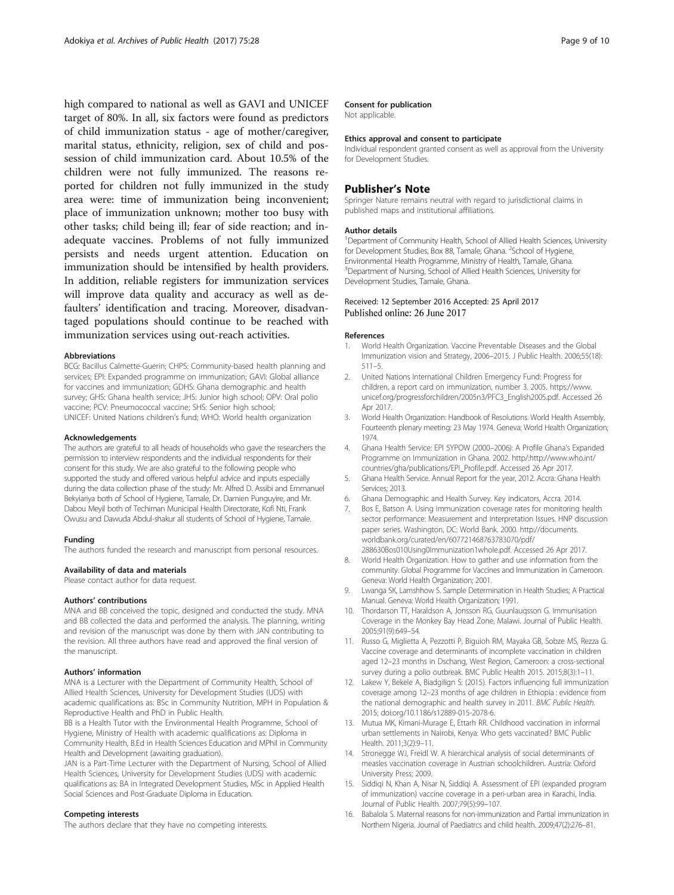<span id="page-8-0"></span>high compared to national as well as GAVI and UNICEF target of 80%. In all, six factors were found as predictors of child immunization status - age of mother/caregiver, marital status, ethnicity, religion, sex of child and possession of child immunization card. About 10.5% of the children were not fully immunized. The reasons reported for children not fully immunized in the study area were: time of immunization being inconvenient; place of immunization unknown; mother too busy with other tasks; child being ill; fear of side reaction; and inadequate vaccines. Problems of not fully immunized persists and needs urgent attention. Education on immunization should be intensified by health providers. In addition, reliable registers for immunization services will improve data quality and accuracy as well as defaulters' identification and tracing. Moreover, disadvantaged populations should continue to be reached with immunization services using out-reach activities.

### Abbreviations

BCG: Bacillus Calmette-Guerin; CHPS: Community-based health planning and services; EPI: Expanded programme on immunization; GAVI: Global alliance for vaccines and immunization; GDHS: Ghana demographic and health survey; GHS: Ghana health service; JHS: Junior high school; OPV: Oral polio vaccine; PCV: Pneumococcal vaccine; SHS: Senior high school; UNICEF: United Nations children's fund; WHO: World health organization

#### Acknowledgements

The authors are grateful to all heads of households who gave the researchers the permission to interview respondents and the individual respondents for their consent for this study. We are also grateful to the following people who supported the study and offered various helpful advice and inputs especially during the data collection phase of the study: Mr. Alfred D. Assibi and Emmanuel Bekyiariya both of School of Hygiene, Tamale, Dr. Damien Punguyire, and Mr. Dabou Meyil both of Techiman Municipal Health Directorate, Kofi Nti, Frank Owusu and Dawuda Abdul-shakur all students of School of Hygiene, Tamale.

#### Funding

The authors funded the research and manuscript from personal resources.

### Availability of data and materials

Please contact author for data request.

### Authors' contributions

MNA and BB conceived the topic, designed and conducted the study. MNA and BB collected the data and performed the analysis. The planning, writing and revision of the manuscript was done by them with JAN contributing to the revision. All three authors have read and approved the final version of the manuscript.

# Authors' information

MNA is a Lecturer with the Department of Community Health, School of Allied Health Sciences, University for Development Studies (UDS) with academic qualifications as: BSc in Community Nutrition, MPH in Population & Reproductive Health and PhD in Public Health.

BB is a Health Tutor with the Environmental Health Programme, School of Hygiene, Ministry of Health with academic qualifications as: Diploma in Community Health, B.Ed in Health Sciences Education and MPhil in Community Health and Development (awaiting graduation).

JAN is a Part-Time Lecturer with the Department of Nursing, School of Allied Health Sciences, University for Development Studies (UDS) with academic qualifications as: BA in Integrated Development Studies, MSc in Applied Health Social Sciences and Post-Graduate Diploma in Education.

# Competing interests

The authors declare that they have no competing interests.

## Consent for publication

Not applicable.

#### Ethics approval and consent to participate

Individual respondent granted consent as well as approval from the University for Development Studies.

### Publisher's Note

Springer Nature remains neutral with regard to jurisdictional claims in published maps and institutional affiliations.

#### Author details

<sup>1</sup>Department of Community Health, School of Allied Health Sciences, University for Development Studies, Box 88, Tamale, Ghana. <sup>2</sup>School of Hygiene Environmental Health Programme, Ministry of Health, Tamale, Ghana. <sup>3</sup>Department of Nursing, School of Allied Health Sciences, University for Development Studies, Tamale, Ghana.

# Received: 12 September 2016 Accepted: 25 April 2017 Published online: 26 June 2017

#### References

- 1. World Health Organization. Vaccine Preventable Diseases and the Global Immunization vision and Strategy, 2006–2015. J Public Health. 2006;55(18): 511–5.
- 2. United Nations International Children Emergency Fund: Progress for children, a report card on immunization, number 3. 2005. [https://www.](https://www.unicef.org/progressforchildren/2005n3/PFC3_English2005.pdf) [unicef.org/progressforchildren/2005n3/PFC3\\_English2005.pdf.](https://www.unicef.org/progressforchildren/2005n3/PFC3_English2005.pdf) Accessed 26 Apr 2017
- 3. World Health Organization: Handbook of Resolutions. World Health Assembly, Fourteenth plenary meeting: 23 May 1974. Geneva: World Health Organization; 1974.
- 4. Ghana Health Service: EPI 5YPOW (2000–2006): A Profile Ghana's Expanded Programme on Immunization in Ghana. 2002. http/[:http://www.who.int/](http://www.who.int/countries/gha/publications/EPI_Profile.pdf) [countries/gha/publications/EPI\\_Profile.pdf.](http://www.who.int/countries/gha/publications/EPI_Profile.pdf) Accessed 26 Apr 2017.
- 5. Ghana Health Service. Annual Report for the year, 2012. Accra: Ghana Health Services; 2013.
- 6. Ghana Demographic and Health Survey. Key indicators, Accra. 2014.
- 7. Bos E, Batson A. Using immunization coverage rates for monitoring health sector performance: Measurement and Interpretation Issues. HNP discussion paper series. Washington, DC: World Bank. 2000. [http://documents.](http://documents.worldbank.org/curated/en/607721468763783070/pdf/288630Bos010Using0Immunization1whole.pdf) [worldbank.org/curated/en/607721468763783070/pdf/](http://documents.worldbank.org/curated/en/607721468763783070/pdf/288630Bos010Using0Immunization1whole.pdf) [288630Bos010Using0Immunization1whole.pdf.](http://documents.worldbank.org/curated/en/607721468763783070/pdf/288630Bos010Using0Immunization1whole.pdf) Accessed 26 Apr 2017.
- 8. World Health Organization. How to gather and use information from the community. Global Programme for Vaccines and Immunization in Cameroon. Geneva: World Health Organization; 2001.
- 9. Lwanga SK, Lamshhow S. Sample Determination in Health Studies; A Practical Manual. Geneva: World Health Organization; 1991.
- 10. Thordarson TT, Haraldson A, Jonsson RG, Guunlauqsson G. Immunisation Coverage in the Monkey Bay Head Zone, Malawi. Journal of Public Health. 2005;91(9):649–54.
- 11. Russo G, Miglietta A, Pezzotti P, Biguioh RM, Mayaka GB, Sobze MS, Rezza G. Vaccine coverage and determinants of incomplete vaccination in children aged 12–23 months in Dschang, West Region, Cameroon: a cross-sectional survey during a polio outbreak. BMC Public Health 2015. 2015;8(3):1–11.
- 12. Lakew Y, Bekele A, Biadgilign S: (2015). Factors influencing full immunization coverage among 12–23 months of age children in Ethiopia : evidence from the national demographic and health survey in 2011. BMC Public Health. 2015; doi:org/10.1186/s12889-015-2078-6.
- 13. Mutua MK, Kimani-Murage E, Ettarh RR. Childhood vaccination in informal urban settlements in Nairobi, Kenya: Who gets vaccinated? BMC Public Health. 2011;3(2):9–11.
- 14. Stronegge WJ, Freidl W. A hierarchical analysis of social determinants of measles vaccination coverage in Austrian schoolchildren. Austria: Oxford University Press; 2009.
- 15. Siddiqi N, Khan A, Nisar N, Siddiqi A. Assessment of EPI (expanded program of immunization) vaccine coverage in a peri-urban area in Karachi, India. Journal of Public Health. 2007;79(5):99–107.
- 16. Babalola S. Maternal reasons for non-immunization and Partial immunization in Northern Nigeria. Journal of Paediatrcs and child health. 2009;47(2):276–81.